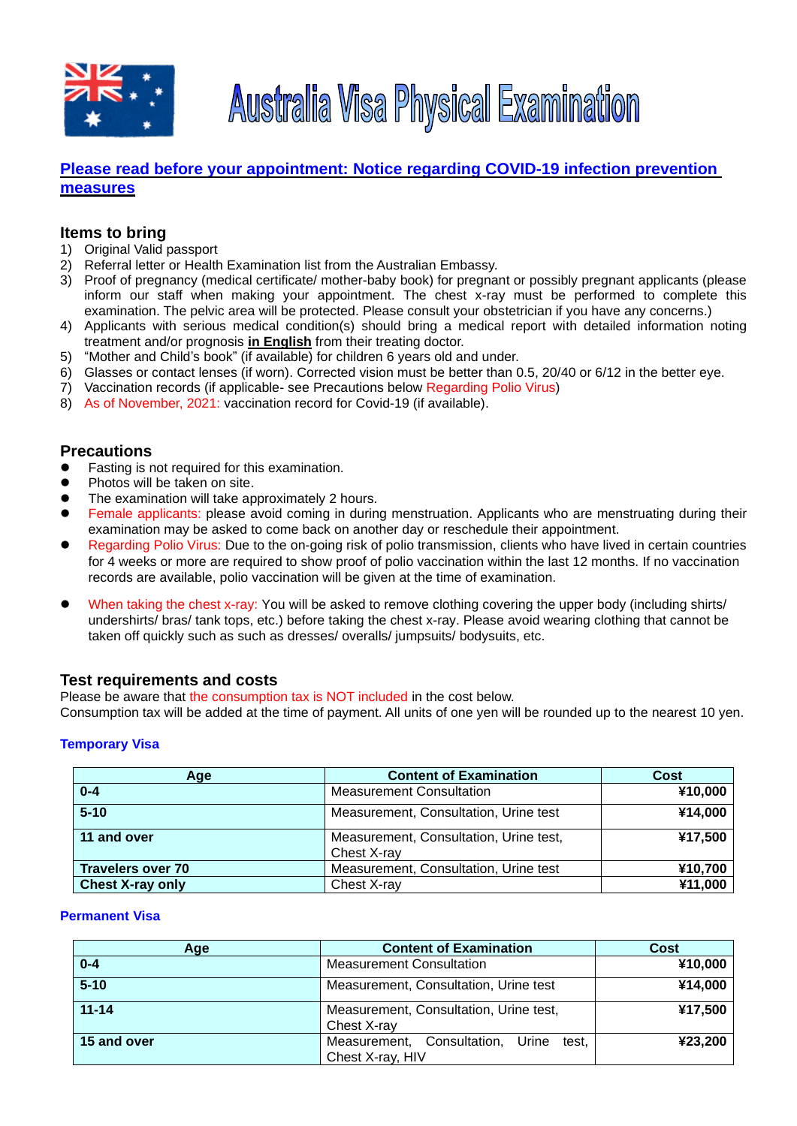



# **[Please read before your appointment: Notice regarding COVID-19](https://tmsc.jp/notice-regarding-covid-19-infection-prevention-measures) infection prevention [measures](https://tmsc.jp/notice-regarding-covid-19-infection-prevention-measures)**

## **Items to bring**

- 1) Original Valid passport
- 2) Referral letter or Health Examination list from the Australian Embassy.
- 3) Proof of pregnancy (medical certificate/ mother-baby book) for pregnant or possibly pregnant applicants (please inform our staff when making your appointment. The chest x-ray must be performed to complete this examination. The pelvic area will be protected. Please consult your obstetrician if you have any concerns.)
- 4) Applicants with serious medical condition(s) should bring a medical report with detailed information noting treatment and/or prognosis **in English** from their treating doctor.
- 5) "Mother and Child's book" (if available) for children 6 years old and under.
- 6) Glasses or contact lenses (if worn). Corrected vision must be better than 0.5, 20/40 or 6/12 in the better eye.
- 7) Vaccination records (if applicable- see Precautions below Regarding Polio Virus)
- 8) As of November, 2021: vaccination record for Covid-19 (if available).

## **Precautions**

- ⚫ Fasting is not required for this examination.
- ⚫ Photos will be taken on site.
- The examination will take approximately 2 hours.
- Female applicants: please avoid coming in during menstruation. Applicants who are menstruating during their examination may be asked to come back on another day or reschedule their appointment.
- ⚫ Regarding Polio Virus: Due to the on-going risk of polio transmission, clients who have lived in certain countries for 4 weeks or more are required to show proof of polio vaccination within the last 12 months. If no vaccination records are available, polio vaccination will be given at the time of examination.
- When taking the chest x-ray: You will be asked to remove clothing covering the upper body (including shirts/ undershirts/ bras/ tank tops, etc.) before taking the chest x-ray. Please avoid wearing clothing that cannot be taken off quickly such as such as dresses/ overalls/ jumpsuits/ bodysuits, etc.

### **Test requirements and costs**

Please be aware that the consumption tax is NOT included in the cost below.

Consumption tax will be added at the time of payment. All units of one yen will be rounded up to the nearest 10 yen.

### **Temporary Visa**

| Age                      | <b>Content of Examination</b>                         | Cost    |
|--------------------------|-------------------------------------------------------|---------|
| $0 - 4$                  | <b>Measurement Consultation</b>                       | ¥10,000 |
| $5 - 10$                 | Measurement, Consultation, Urine test                 | ¥14,000 |
| 11 and over              | Measurement, Consultation, Urine test,<br>Chest X-ray | ¥17,500 |
| <b>Travelers over 70</b> | Measurement, Consultation, Urine test                 | ¥10,700 |
| <b>Chest X-ray only</b>  | Chest X-ray                                           | ¥11,000 |

#### **Permanent Visa**

| Age         | <b>Content of Examination</b>                                    | <b>Cost</b> |
|-------------|------------------------------------------------------------------|-------------|
| $0 - 4$     | <b>Measurement Consultation</b>                                  | ¥10,000     |
| $5 - 10$    | Measurement, Consultation, Urine test                            | ¥14,000     |
| $11 - 14$   | Measurement, Consultation, Urine test,<br>Chest X-ray            | ¥17,500     |
| 15 and over | Consultation, Urine<br>Measurement,<br>test.<br>Chest X-ray, HIV | ¥23,200     |